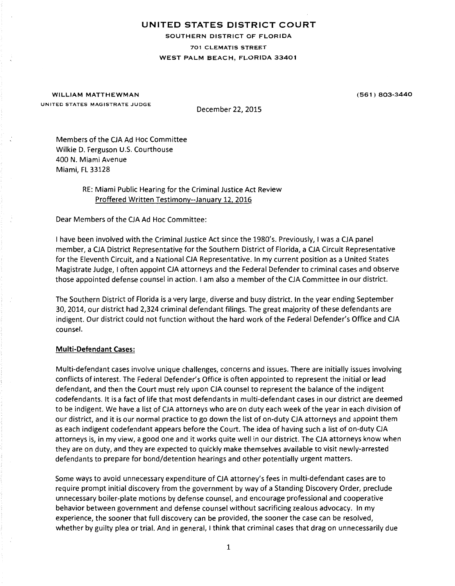# UNITED STATES DISTRICT COURT

SOUTHERN DISTRICT OF FLORIDA

701 CLEMATIS STREET

## WEST PALM BEACH, FLORIDA 33401

WILLIAM MATTHEWMAN UNITED STATES MAGISTRATE JUDGE (561) 803-3440

December 22, 2015

Members of the CJA Ad Hoc Committee Wilkie D. Ferguson U.S. Courthouse 400 N. Miami Avenue Miami, FL 33128

> RE: Miami Public Hearing for the Criminal Justice Act Review Proffered Written Testimony--January 12, 2016

Dear Members of the CJA Ad Hoc Committee:

I have been involved with the Criminal Justice Act since the 1980's. Previously, I was a CJA panel member, a CJA District Representative for the Southern District of Florida, a CJA Circuit Representative for the Eleventh Circuit, and a National CJA Representative. In my current position as a United States Magistrate Judge, I often appoint CJA attorneys and the Federal Defender to criminal cases and observe those appointed defense counsel in action. I am also a member of the CJA Committee in our district.

The Southern District of Florida is a very large, diverse and busy district. In the year ending September 30, 2014, our district had 2,324 criminal defendant filings. The great majority of these defendants are indigent. Our district could not function without the hard work of the Federal Defender's Office and CJA counsel.

## Multi-Defendant Cases:

Multi-defendant cases involve unique challenges, concerns and issues. There are initially issues involving conflicts of interest. The Federal Defender's Office is often appointed to represent the initial or lead defendant, and then the Court must rely upon CJA counsel to represent the balance of the indigent codefendants. It is a fact of life that most defendants in multi-defendant cases in our district are deemed to be indigent. We have a list of CJA attorneys who are on duty each week of the year in each division of our district, and it is our normal practice to go down the list of on-duty CJA attorneys and appoint them as each indigent codefendant appears before the Court. The idea of having such a list of on-duty CJA attorneys is, in my view, a good one and it works quite well in our district. The CJA attorneys know when they are on duty, and they are expected to quickly make themselves available to visit newly-arrested defendants to prepare for bond/detention hearings and other potentially urgent matters.

Some ways to avoid unnecessary expenditure of CJA attorney's fees in multi-defendant cases are to require prompt initial discovery from the government by way of a Standing Discovery Order, preclude unnecessary boiler-plate motions by defense counsel, and encourage professional and cooperative behavior between government and defense counsel without sacrificing zealous advocacy. In my experience, the sooner that full discovery can be provided, the sooner the case can be resolved, whether by guilty plea or trial. And in general, I think that criminal cases that drag on unnecessarily due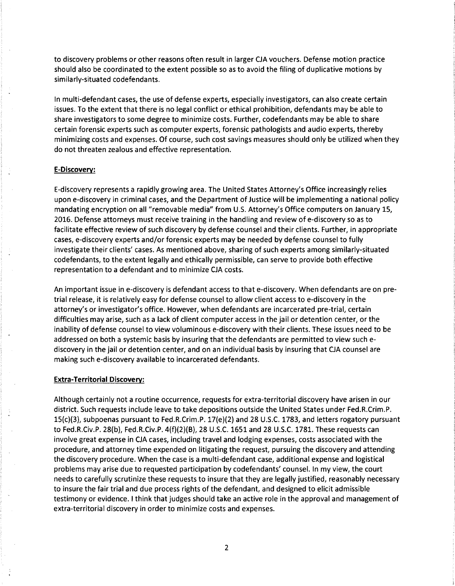to discovery problems or other reasons often result in larger CJA vouchers. Defense motion practice should also be coordinated to the extent possible so as to avoid the filing of duplicative motions by similarly-situated codefendants.

In multi-defendant cases, the use of defense experts, especially investigators, can also create certain issues. To the extent that there is no legal conflict or ethical prohibition, defendants may be able to share investigators to some degree to minimize costs. Further, codefendants may be able to share certain forensic experts such as computer experts, forensic pathologists and audio experts, thereby minimizing costs and expenses. Of course, such cost savings measures should only be utilized when they do not threaten zealous and effective representation.

## **E-Discovery:**

E-discovery represents a rapidly growing area. The United States Attorney's Office increasingly relies upon e-discovery in criminal cases, and the Department of Justice will be implementing a national policy mandating encryption on all "removable media" from U.S. Attorney's Office computers on January 15, 2016. Defense attorneys must receive training in the handling and review of e-discovery so as to facilitate effective review of such discovery by defense counsel and their clients. Further, in appropriate cases, e-discovery experts and/or forensic experts may be needed by defense counsel to fully investigate their clients' cases. As mentioned above, sharing of such experts among similarly-situated codefendants, to the extent legally and ethically permissible, can serve to provide both effective representation to a defendant and to minimize CJA costs.

An important issue in e-discovery is defendant access to that e-discovery. When defendants are on pretrial release, it is relatively easy for defense counsel to allow client access to e-discovery in the attorney's or investigator's office. However, when defendants are incarcerated pre-trial, certain difficulties may arise, such as a lack of client computer access in the jail or detention center, or the inability of defense counsel to view voluminous e-discovery with their clients. These issues need to be addressed on both a systemic basis by insuring that the defendants are permitted to view such ediscovery in the jail or detention center, and on an individual basis by insuring that CJA counsel are making such e-discovery available to incarcerated defendants.

### **Extra-Territorial Discovery:**

Although certainly not a routine occurrence, requests for extra-territorial discovery have arisen in our district. Such requests include leave to take depositions outside the United States under Fed.R.Crim.P. 15(c)(3), subpoenas pursuant to Fed.R.Crim.P. 17(e)(2) and 28 U.S.C. 1783, and letters rogatory pursuant to Fed.R.Civ.P. 28(b), Fed.R.Civ.P. 4(f)(2)(B), 28 U.S.C. 1651 and 28 U.S.C. 1781. These requests can involve great expense in CJA cases, including travel and lodging expenses, costs associated with the procedure, and attorney time expended on litigating the request, pursuing the discovery and attending the discovery procedure. When the case is a multi-defendant case, additional expense and logistical problems may arise due to requested participation by codefendants' counsel. In my view, the court needs to carefully scrutinize these requests to insure that they are legally justified, reasonably necessary to insure the fair trial and due process rights of the defendant, and designed to elicit admissible testimony or evidence. I think that judges should take an active role in the approval and management of extra-territorial discovery in order to minimize costs and expenses.